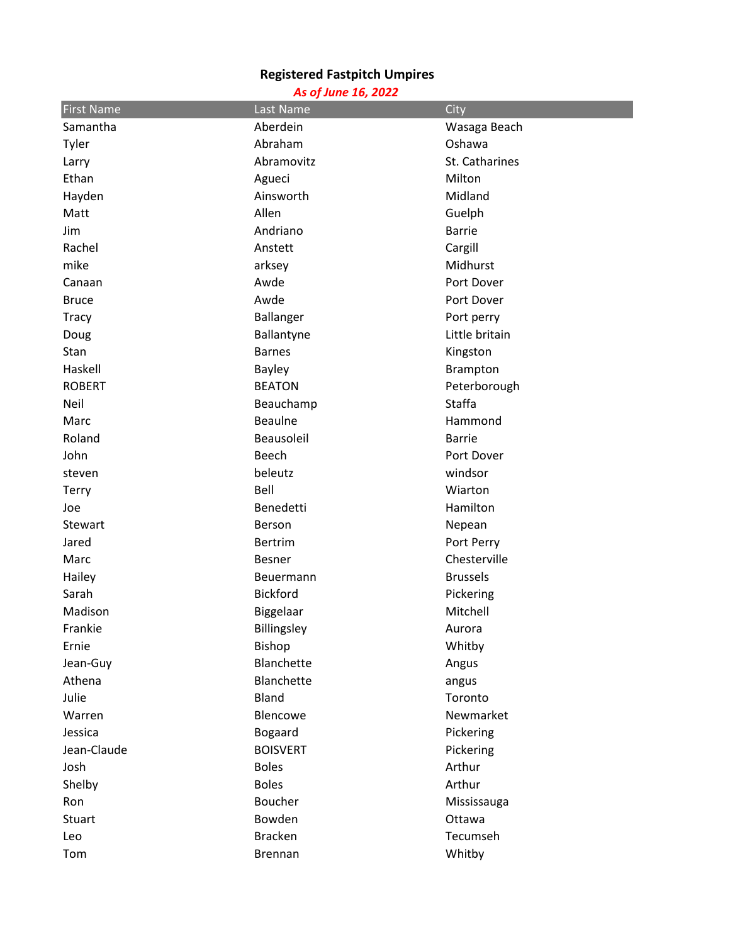## **Registered Fastpitch Umpires**

## *As of June 16, 2022*

| <b>First Name</b> | Last Name       | City            |  |
|-------------------|-----------------|-----------------|--|
| Samantha          | Aberdein        | Wasaga Beach    |  |
| Tyler             | Abraham         | Oshawa          |  |
| Larry             | Abramovitz      | St. Catharines  |  |
| Ethan             | Agueci          | Milton          |  |
| Hayden            | Ainsworth       | Midland         |  |
| Matt              | Allen           | Guelph          |  |
| Jim               | Andriano        | <b>Barrie</b>   |  |
| Rachel            | Anstett         | Cargill         |  |
| mike              | arksey          | Midhurst        |  |
| Canaan            | Awde            | Port Dover      |  |
| <b>Bruce</b>      | Awde            | Port Dover      |  |
| <b>Tracy</b>      | Ballanger       | Port perry      |  |
| Doug              | Ballantyne      | Little britain  |  |
| Stan              | <b>Barnes</b>   | Kingston        |  |
| Haskell           | <b>Bayley</b>   | Brampton        |  |
| <b>ROBERT</b>     | <b>BEATON</b>   | Peterborough    |  |
| Neil              | Beauchamp       | <b>Staffa</b>   |  |
| Marc              | <b>Beaulne</b>  | Hammond         |  |
| Roland            | Beausoleil      | <b>Barrie</b>   |  |
| John              | Beech           | Port Dover      |  |
| steven            | beleutz         | windsor         |  |
| <b>Terry</b>      | Bell            | Wiarton         |  |
| Joe               | Benedetti       | Hamilton        |  |
| Stewart           | Berson          | Nepean          |  |
| Jared             | <b>Bertrim</b>  | Port Perry      |  |
| Marc              | <b>Besner</b>   | Chesterville    |  |
| Hailey            | Beuermann       | <b>Brussels</b> |  |
| Sarah             | <b>Bickford</b> | Pickering       |  |
| Madison           | Biggelaar       | Mitchell        |  |
| Frankie           | Billingsley     | Aurora          |  |
| Ernie             | Bishop          | Whitby          |  |
| Jean-Guy          | Blanchette      | Angus           |  |
| Athena            | Blanchette      | angus           |  |
| Julie             | Bland           | Toronto         |  |
| Warren            | Blencowe        | Newmarket       |  |
| Jessica           | <b>Bogaard</b>  | Pickering       |  |
| Jean-Claude       | <b>BOISVERT</b> | Pickering       |  |
| Josh              | <b>Boles</b>    | Arthur          |  |
| Shelby            | <b>Boles</b>    | Arthur          |  |
| Ron               | <b>Boucher</b>  | Mississauga     |  |
| Stuart            | Bowden          | Ottawa          |  |
| Leo               | <b>Bracken</b>  | Tecumseh        |  |
| Tom               | Brennan         | Whitby          |  |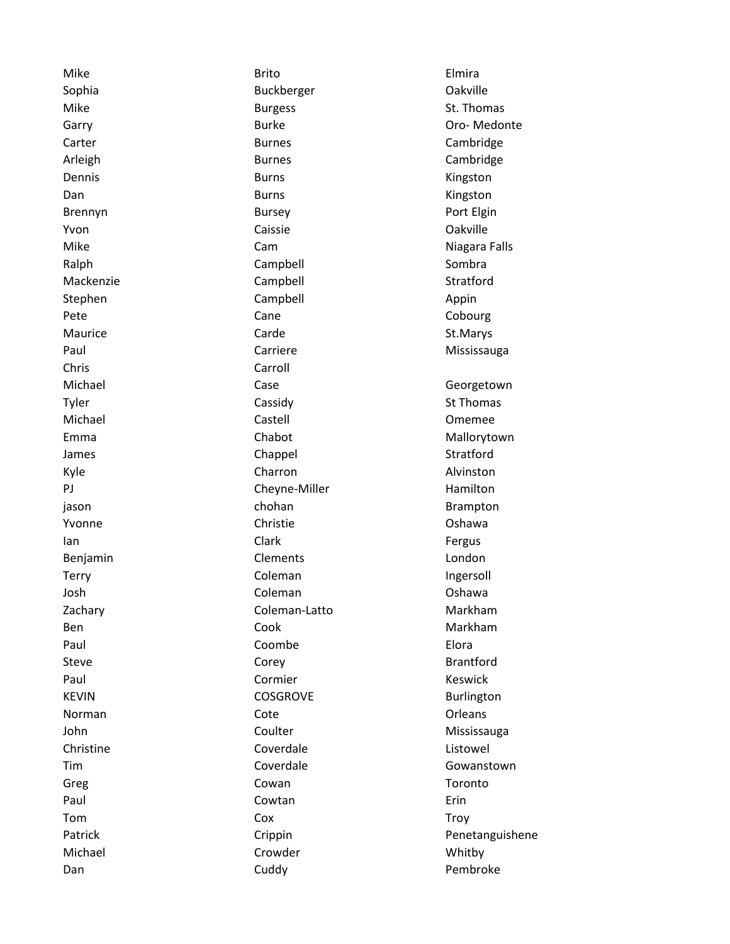Chris Carroll

Mike **Elmira** Brito **Elmira** Brito **Elmira** Sophia **Buckberger Calculated Buckberger Calculated Dakyille** Mike Burgess Burgess St. Thomas Carter **Cambridge Cambridge Cambridge Cambridge** Arleigh **Burnes** Cambridge Dennis **Burns** Burns **Constanting Construction** Burns **Constanting Construction** Ringston Dan Burns Burns Communication and the Burns Communication and the Ringston Brennyn Bursey Port Elgin Yvon Caissie Oakville Mike **Cam** Cam Cam Niagara Falls Ralph Campbell Combra Mackenzie Campbell Campbell Stratford Stephen Campbell Campbell Appin Pete **Cane** Cane Cane Cobourg Maurice **Carde** Carde Carde St.Marys Paul **Carriere** Carriere Mississauga Michael **Case** Case Case Georgetown Tyler Cassidy Cassidy St Thomas Michael Castell Omemee Emma Chabot Chabot Mallorytown James **Chappel** Chappel Stratford Kyle **Charron** Charron **Alvinston** PJ Cheyne-Miller Hamilton jason chohan Brampton Yvonne Christie Oshawa Ian **Ian and Clark** Clark Clark Clark **Fergus** Benjamin Clements Condon Communications and Clements Clements Condon Terry **Terry Coleman** Coleman **Ingersoll** Josh Coleman Coleman Coleman Coleman Coshawa Zachary **Coleman-Latto** Coleman-Latto Markham Ben and Cook Cook Cook Markham Paul **Coombe Elora** Steve **Corey** Corey **Corey Brantford** Paul **Cormier** Cormier **Keswick** KEVIN COSGROVE Burlington Norman Cote Core Context Context Context Context Context Context Context Context Context Context Context Context Context Context Context Context Context Context Context Context Context Context Context Context Context Conte John Coulter Coulter Mississauga Christine Coverdale Listowel Tim Coverdale Gowanstown Greg Cowan Cowan Cowan Toronto Paul **Cowtan** Cowtan **Example 2018** Tom Cox Cox Troy Michael **Michael** Crowder **Crowder** Whitby

Garry **Burke Communist Communist Communist Communist Communist Communist Communist Communist Communist Communist Communist Communist Communist Communist Communist Communist Communist Communist Communist Communist Communist** Patrick Crippin Crippin Penetanguishene Dan **Cuddy** Cuddy **Cuddy Pembroke**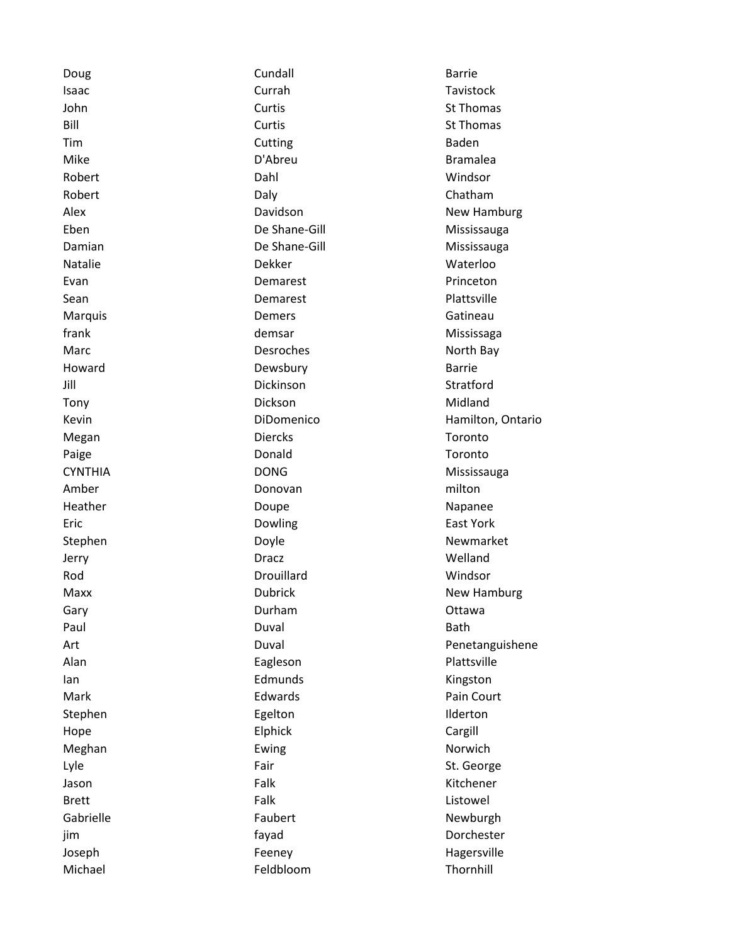Doug **Cundall Cundall Cundall Barrie** Isaac **Currah Currah Tavistock** John **St Thomas** Curtis **Curtis** St Thomas **St Thomas** Bill **State Curtis** Curtis **Curtis** St Thomas Tim **Cutting Cutting** Baden Mike **D'Abreu** D'Abreu **Bramalea** Robert **National Media Contract Dahl** Dahl Mindsor Robert **Daly** Daly **Chatham** Natalie **Natalie Natalie Natalie Natalie Natalie Natalie Natalie Natalie Natalie Natalie Natalie Natalie Natal** Evan **Example 2018** Demarest **Princeton** Sean **Demarest** Demarest Plattsville Marquis **Called According Contract Contract Contract Contract Contract Contract Contract Contract Contract Contract Contract Contract Contract Contract Contract Contract Contract Contract Contract Contract Contract Contrac** frank demsar Mississaga Marc **North Bay** Desroches **North Bay** Howard **Dewsbury** Dewsbury **Barrie** Jill Dickinson Stratford Tony **The Contract Contract Contract Contract Contract Contract Contract Contract Contract Contract Contract Contract Contract Contract Contract Contract Contract Contract Contract Contract Contract Contract Contract Contr** Megan **Diercks** Diercks Toronto Paige **Donald Contact Contact Donald Contact Contact Contact Contact Contact Contact Contact Contact Contact Contact Contact Contact Contact Contact Contact Contact Contact Contact Contact Contact Contact Contact Conta** Amber **Donovan** Donovan milton Heather **Napanee** Doupe **Napanee** Napanee Eric Dowling East York Jerry Dracz Welland Rod **No. 2018 Construction Drouillard** Mindson **Windson** Gary **Gary Called Accord Controllering Durham COLLECT CONTROVERS** Ottawa Paul **Duval** Bath Alan **Eagleson** Eagleson Plattsville Ian **Ian Edmunds** Edmunds **Kingston** Mark **Edwards** Pain Court **Pain Court** Stephen Egelton Egelton Ilderton Hope **Elphick** Elphick Cargill Meghan **Execution Executes** Ewing **Norwich** Norwich Lyle **Example Fair** Fair St. George Jason **Falk** Falk **Kitchener** Brett **Falk** Falk **Example 2018** Gabrielle **Faubert** Faubert Newburgh jim fayad Dorchester Joseph Feeney Feeney Hagersville Michael Feldbloom Thornhill

Alex **Alex Constructs** Davidson **New Hamburg New Hamburg** Eben De Shane-Gill Mississauga Damian De Shane-Gill Mississauga Kevin **Example 2018** DiDomenico **Contrario Hamilton, Ontario** CYNTHIA DONG DONG Mississauga Stephen Doyle Doyle Newmarket Maxx **New Hamburg** Dubrick New Hamburg Art Duval Penetanguishene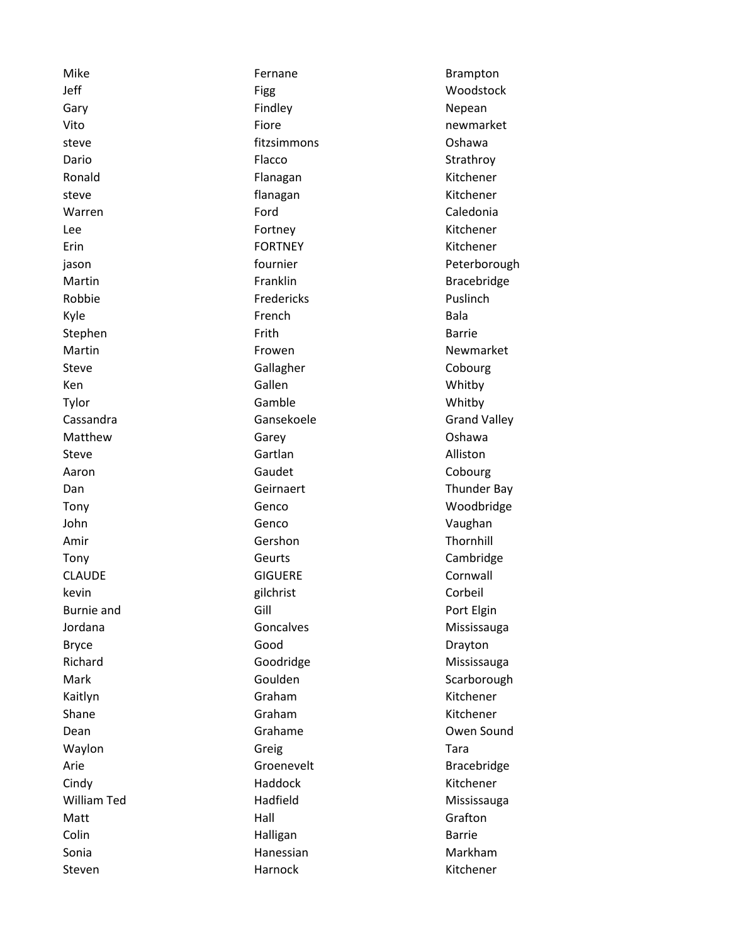Mike **Fernane** Fernane **Brampton** Jeff Figg Woodstock Gary **Gary Findley Findley Repean** Vito **Fiore Fiore newmarket** steve fitzsimmons Oshawa Dario **Flacco Flacco** Strathroy Ronald **Flanagan** Flanagan Kitchener steve **flanagan** Kitchener Warren **Example 2018** Ford Caledonia Lee **Example 20 Fortney Community Community** Fortney Community Research Mitchener Erin FORTNEY Kitchener Robbie **Fredericks** Puslinch Kyle **Example 2018** School and French Extending Bala Stephen Frith Barrie Steve Gallagher Cobourg Ken Gallen Gallen Whitby Tylor **Gamble** Gamble **Gamble** Whitby Matthew Garey Garey Carewall Coshawa Steve and Alliston Gartlan Controller Controller and Alliston Aaron Cobourg Caudet Cobourg John Genco Communication Communication of the Vaughan Amir **Gershon** Gershon Thornhill Tony Cambridge Cambridge Cambridge CLAUDE GIGUERE COMMANDE kevin Gorbeil and Gorbeil and School and Gorbeil and Gorbeil and Gorbeil and Gorbeil and Gorbeil and Gorbeil a Burnie and **Gill** Gill **Gill Communist Elgin** Bryce **Good** Good Drayton Kaitlyn **Kaitlyn** Graham Graham Kitchener Shane Graham Graham Kitchener Waylon **Greig** Greig Communication of the Tara Cindy **Haddock** Haddock Kitchener William Ted **Mississauga** Hadfield Mississauga Matt **Matt** Grafton **Matt** Grafton Colin **Example 2018** Halligan **Barrie** Barrie Sonia **Markham** Markham Markham Markham Markham Steven **Exercise Steven Harnock** Harnock **Kitchener** 

jason **in the example of the example of the example of the example of the example of the example of the example of the example of the example of the example of the example of the example of the example of the example of th** Martin **Martin Example 1** Franklin **Bracebridge** Martin **Newmarket Frowen** From Newmarket Cassandra Cassandra Gansekoele Grand Valley Dan Geirnaert Thunder Bay Tony Genco Woodbridge Jordana **Goncalves** Goncalves Mississauga Richard Goodridge Mississauga Mark Goulden Scarborough Scarborough Dean Grahame Owen Sound Arie **Groenevelt** Bracebridge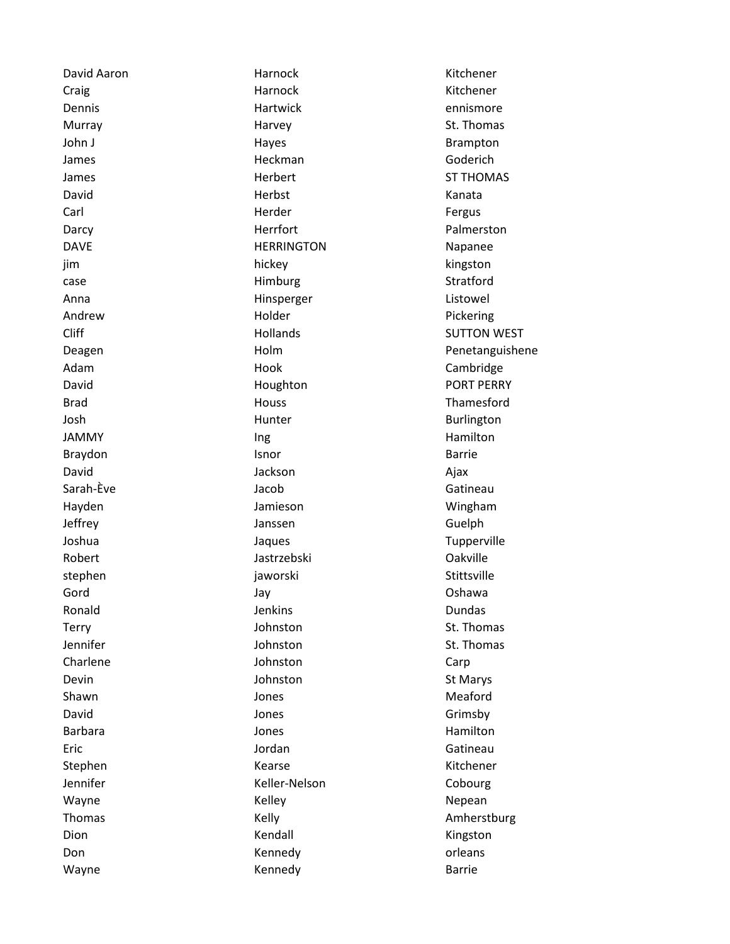David Aaron Harnock Kitchener Craig **Example 2018** Harnock **Craig** Kitchener Dennis **Example 2018** Hartwick **Example 2018** Hartwick **Example 2018** 2019 12:30 Murray Music Communication of Harvey Music Communication St. Thomas John J **Hayes** Hayes **Brampton** James **Goderich** Heckman Goderich James Herbert ST THOMAS David **Markoving Communist Communist Communist Communist Communist Communist Communist Communist Communist Communist Communist Communist Communist Communist Communist Communist Communist Communist Communist Communist Commu** Carl **Carl Herder Herder Fergus** Darcy **Herrfort** Herrfort Palmerston DAVE **Napanee** HERRINGTON **Napanee** jim hickey kingston case and the Himburg Case Stratford Anna **Anna** Hinsperger **Listowel** Andrew **Andrew Pickering** Holder **Pickering** Adam **Hook** Hook Cambridge David **Example 2018** Houghton **PORT PERRY** Brad Houss Thamesford Josh **Hunter** Hunter **Burlington** JAMMY **Ing Ing Ing Hamilton** Braydon **Isnor** Isnor **Barrie** David **David Contract Contract Again** *David* Ajax Sarah-Ève Jacob Gatineau Hayden Jamieson Wingham Jeffrey Janssen Guelph Joshua Jaques Tupperville Robert **Jastrzebski Calculated Library Calculated Act and Act and Act and Act and Act and Act and Act and Act and Act and Act and Act and Act and Act and Act and Act and Act and Act and Act and Act and Act and Act and Ac** stephen in die stephen is die stephen van die staat geworski Gord Jay Oshawa Ronald **Constanting Construction Construction** Jenkins **Construction Construction Construction** Terry **St. Thomas** Johnston St. Thomas Jennifer Johnston St. Thomas Charlene Johnston Carp Devin **Communists** Communist St Marys Johnston St Marys Shawn **Galacter Contract Contract Contract Contract Contract Contract Contract Contract Contract Contract Contract Contract Contract Contract Contract Contract Contract Contract Contract Contract Contract Contract Contract** David Grimsby Connection Connection Connection Connection Connection Connection Connection Connection Connection Connection Connection Connection Connection Connection Connection Connection Connection Connection Connection Barbara **Manusia Barbara International Contracts** Jones **Hamilton** Eric **Gatineau** Jordan **Gatineau** Stephen Kearse Kearse Kearse Kitchener Jennifer **Keller-Nelson** Cobourg Wayne **Manufacture Medicine** Kelley **Nepean** Nepean Dion **Kendall** Kendall **Kendall** Kingston Don **Confluence Contract Confluence Confluence** Kennedy **orleans** Wayne **Manual Community** Kennedy **Barrie** Barrie

Cliff **Hollands** Hollands SUTTON WEST Deagen Holm Penetanguishene Thomas **Kelly** Kelly **Communist Communist Communist Communist Communist Communist Communist Communist Communist Communist Communist Communist Communist Communist Communist Communist Communist Communist Communist Communist**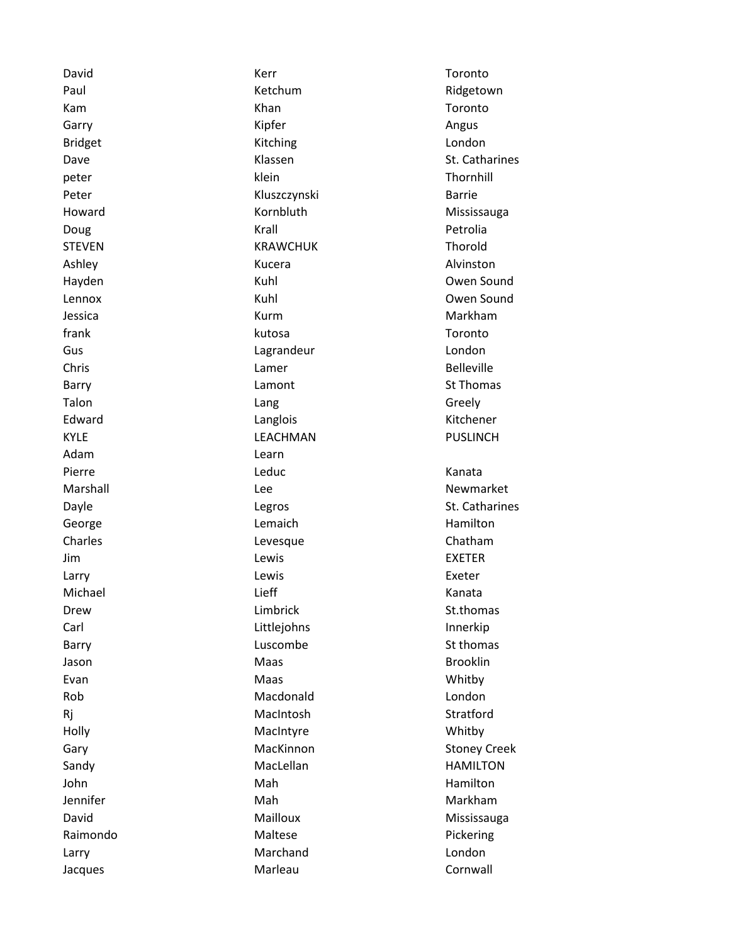Adam Learn

David Communication of the Kerr Communication of Toronto Paul **Ridgetown** Ketchum **Ridgetown** Kam Khan Khan Toronto Garry **Garry Communist Communist Communist Communist Communist Communist Communist Communist Communist Communist Communist Communist Communist Communist Communist Communist Communist Communist Communist Communist Communist** Bridget **Exercise Constructs** Kitching **Constructs** Exercise London peter and the settlement of the klein the settlement of the settlement of the settlement of the settlement of Peter **Barrie Barrie Barrie Barrie Barrie Barrie** Howard **Mississauga** Kornbluth Mississauga Doug **Communist Communist Communist Communist Communist Communist Communist Communist Communist Communist Communist Communist Communist Communist Communist Communist Communist Communist Communist Communist Communist Commun** STEVEN **KRAWCHUK** Thorold Ashley **Alvinston** Kucera **Alvinston** Alvinston Hayden **Kuhl Communist Communist Communist Communist Communist Communist Communist Communist Communist Communist Communist Communist Communist Communist Communist Communist Communist Communist Communist Communist Communist** Lennox Kuhl Owen Sound Jessica **Markham** Kurm **Markham** Markham frank kutosa kutosa tema Toronto Gus **Canadian Lagrandeur** London London Chris **Chris** Chris **Christian Contract Lamer Christian Christian Belleville** Barry **Example 20** Extending Lamont Controller and St Thomas Talon **Contract Contract Contract Contract Contract Contract Contract Contract Contract Contract Contract Contract Contract Contract Contract Contract Contract Contract Contract Contract Contract Contract Contract Contract** Edward **Example 2018** Langlois **Contract 2018** Kitchener KYLE LEACHMAN PUSLINCH Pierre **Canadia Accident Canadia** Leduc **Canadia Accident Canadia** Kanata Marshall Marshall Chronicle Lee Newmarket Newmarket George **Lemaich** Lemaich **Hamilton** Charles **Charles** Chatham Jim Lewis EXETER Larry **Lewis Lewis Exeter** Michael **Exercise Contract Contract Contract Contract Contract Contract Contract Contract Contract Contract Contract Contract Contract Contract Contract Contract Contract Contract Contract Contract Contract Contract Contra** Drew **Limbrick** Contract Limbrick St.thomas Carl Littlejohns Innerkip Barry **Example 2018** Luscombe **State State State State State State State State State State State State State State State State State State State State State State State State State State State State State State State State** Jason **Maas** Maas Brooklin Evan Maas New Maas New Whitby Rob Macdonald London Rj MacIntosh Stratford Holly MacIntyre MacIntyre Whitby Sandy **MacLellan** MacLellan HAMILTON John **Mah** Mah Hamilton Jennifer **Mah** Mah Mah Markham David **Mailloux** Mailloux **Mailloux** Mississauga Raimondo **Maltese Maltese Pickering** Larry **Marchand** London Jacques **Marleau** Marleau Cornwall

Dave **St. Catharines** St. Catharines Dayle **Communists** Catharines Legros Communists Catharines Gary **MacKinnon** Stoney Creek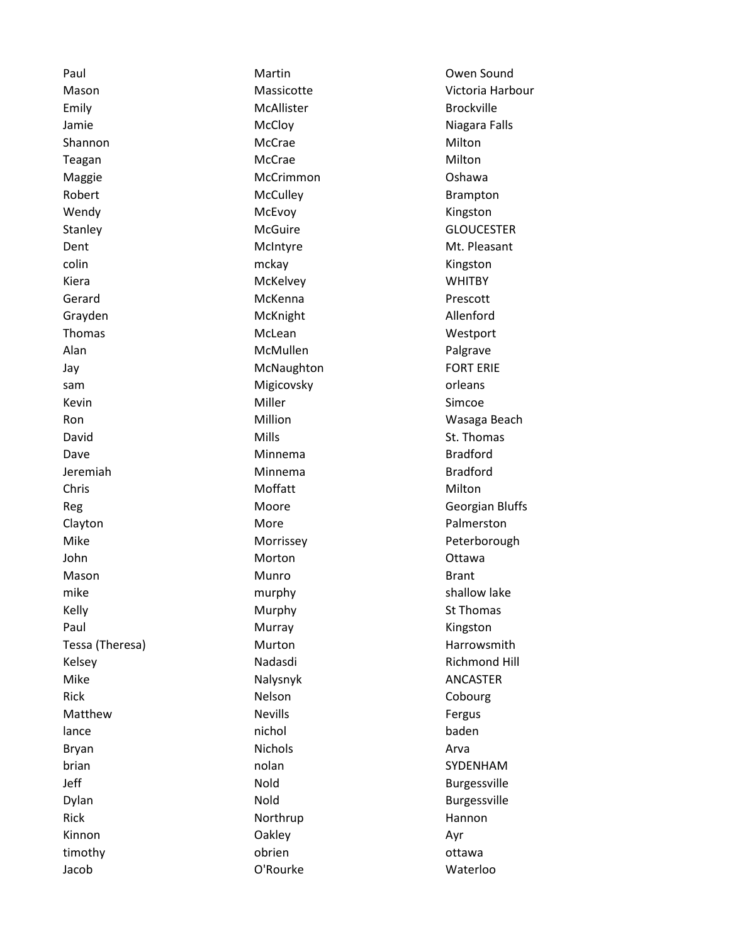Emily **Emily** McAllister **McAllister** Brockville Shannon **McCrae** McCrae Milton Teagan **McCrae** McCrae **Milton** Maggie **McCrimmon** McCrimmon **McCrimmon** Oshawa Robert **McCulley** McCulley **Brampton** Wendy **MCEvoy** McEvoy **McEvoy** McController Muslim McController Management McController McController McController colin and the colin matrix of the matrix of the matrix of the matrix  $\sim$  Kingston Kiera McKelvey Montered McKelvey Muslim Muslim Muslim WHITBY Gerard **McKenna Contact Contact Contact Contact Contact Contact Contact Contact Contact Contact Contact Contact Contact Contact Contact Contact Contact Contact Contact Contact Contact Contact Contact Contact Contact Cont** Grayden McKnight McKnight Allenford Thomas **McLean** McLean McLean Westport Alan McMullen McMullen Palgrave Jay **McNaughton** FORT ERIE sam **Migicovsky Migicovsky orleans** Kevin **Example 2018** Miller **Simple 2018** Simple 2019 David **Mills** St. Thomas Mills St. Thomas St. Thomas St. Thomas St. Thomas St. Thomas St. Thomas St. Thomas St. Thomas St. Thomas St. Thomas St. Thomas St. Thomas St. Thomas St. Thomas St. Thomas St. Thomas St. Thomas St. Dave **Minnema Bradford** Jeremiah Minnema Bradford Chris **Moffatt** Moffatt Milton Clayton **Clayton** More **More Palmerston** John **Morton** Morton **Calculate Contract Contract Ottawa** Mason **Munro** Munro **Brant** mike murphy murphy shallow lake Kelly **Superint Contract Contract Contract Contract Contract Contract Contract Contract Contract Contract Contract Contract Contract Contract Contract Contract Contract Contract Contract Contract Contract Contract Contract** Paul **Murray** Murray **Kingston** Mike Malysnyk Malysnyk ANCASTER Rick **Nelson** Cobourg Matthew **Nevills** Nevills **Nevills Nevills Research Research Research Research Research Research Research Research Research Research Research Research Research Research Research Research Research Research Research Rese** lance baden baden baden baden baden baden baden baden baden baden baden baden baden baden baden baden baden ba Bryan and a studies are all the Nichols and Arva and Arva brian **brian** nolan nolan SYDENHAM Jeff **Nold** Burgessville Dylan **Nold Burgessville** Rick **Northrup Northrup Hannon** Kinnon and Oakley Communication of the Communication of the Communication of the Communication of the Communication of the Ayr timothy **obrien** obrien of the ottawa

Jacob O'Rourke Waterloo

Paul **Martin** Martin **Communist Communist Communist Communist Communist Communist Communist Communist Communist Communist Communist Communist Communist Communist Communist Communist Communist Communist Communist Communist** Mason Massicotte Victoria Harbour Jamie McCloy Niagara Falls Stanley McGuire McGuire GLOUCESTER Dent **McIntyre** McIntyre Messenger McIntyre McIntyre McIntyre McIntyre McIntyre Ron **Million** Million **Million** Wasaga Beach Reg **Moore** Moore Georgian Bluffs Mike **Morrissey** Morrissey **Peterborough** Tessa (Theresa) **Murton** Murton Harrowsmith Kelsey **Nadasdi** Richmond Hill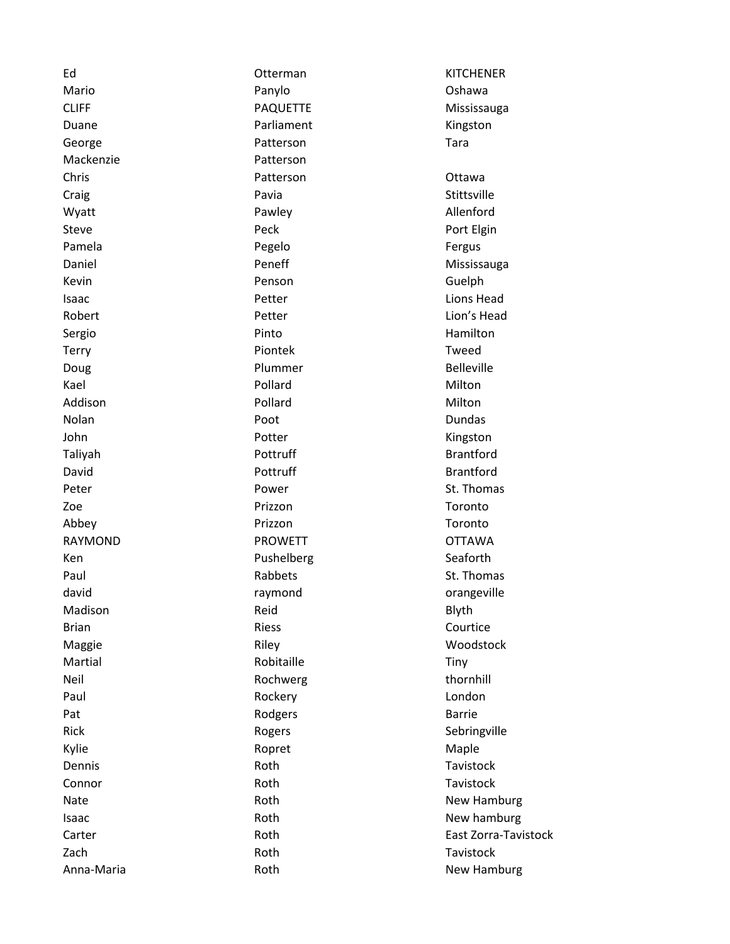| Ed           | Otterman        | <b>KITCHENER</b>     |
|--------------|-----------------|----------------------|
| Mario        | Panylo          | Oshawa               |
| <b>CLIFF</b> | <b>PAQUETTE</b> | Mississauga          |
| Duane        | Parliament      | Kingston             |
| George       | Patterson       | Tara                 |
| Mackenzie    | Patterson       |                      |
| Chris        | Patterson       | Ottawa               |
| Craig        | Pavia           | Stittsville          |
| Wyatt        | Pawley          | Allenford            |
| Steve        | Peck            | Port Elgin           |
| Pamela       | Pegelo          | Fergus               |
| Daniel       | Peneff          | Mississauga          |
| Kevin        | Penson          | Guelph               |
| Isaac        | Petter          | Lions Head           |
| Robert       | Petter          | Lion's Head          |
| Sergio       | Pinto           | Hamilton             |
| Terry        | Piontek         | Tweed                |
| Doug         | Plummer         | <b>Belleville</b>    |
| Kael         | Pollard         | Milton               |
| Addison      | Pollard         | Milton               |
| Nolan        | Poot            | Dundas               |
| John         | Potter          | Kingston             |
| Taliyah      | Pottruff        | <b>Brantford</b>     |
| David        | Pottruff        | <b>Brantford</b>     |
| Peter        | Power           | St. Thomas           |
| Zoe          | Prizzon         | Toronto              |
| Abbey        | Prizzon         | Toronto              |
| RAYMOND      | <b>PROWETT</b>  | <b>OTTAWA</b>        |
| Ken          | Pushelberg      | Seaforth             |
| Paul         | Rabbets         | St. Thomas           |
| david        | raymond         | orangeville          |
| Madison      | Reid            | Blyth                |
| <b>Brian</b> | <b>Riess</b>    | Courtice             |
| Maggie       | Riley           | Woodstock            |
| Martial      | Robitaille      | Tiny                 |
| Neil         | Rochwerg        | thornhill            |
| Paul         | Rockery         | London               |
| Pat          | Rodgers         | <b>Barrie</b>        |
| Rick         | Rogers          | Sebringville         |
| Kylie        | Ropret          | Maple                |
| Dennis       | Roth            | Tavistock            |
| Connor       | Roth            | Tavistock            |
| Nate         | Roth            | New Hamburg          |
| Isaac        | Roth            | New hamburg          |
| Carter       | Roth            | East Zorra-Tavistock |
| Zach         | Roth            | Tavistock            |
| Anna-Maria   | Roth            | New Hamburg          |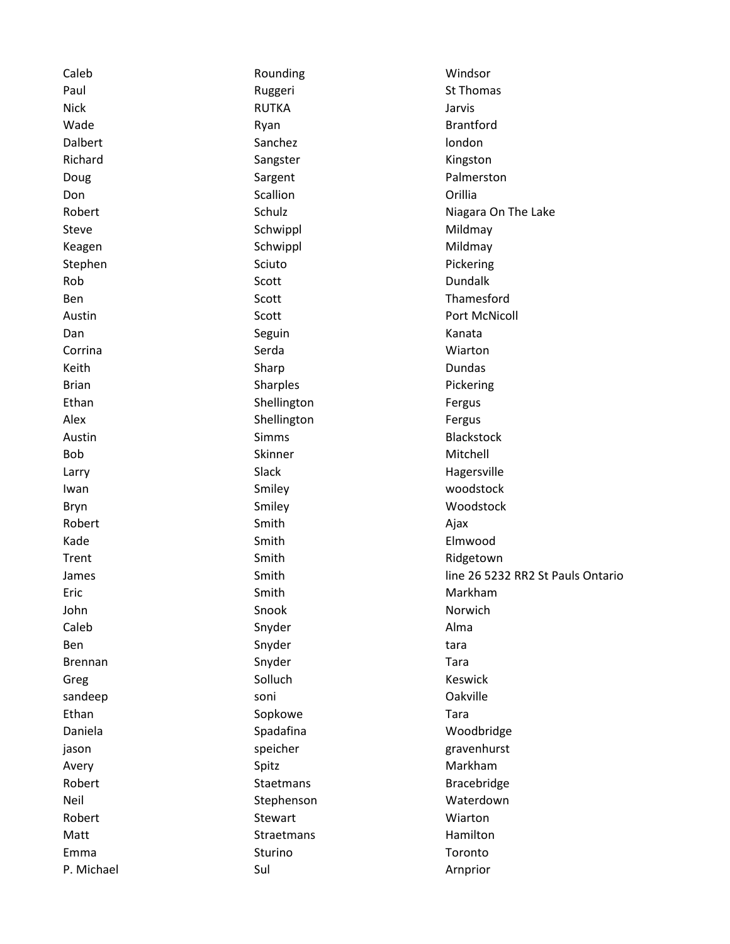| Caleb          | Rounding     | Windsor                           |  |
|----------------|--------------|-----------------------------------|--|
| Paul           | Ruggeri      | St Thomas                         |  |
| <b>Nick</b>    | <b>RUTKA</b> | Jarvis                            |  |
| Wade           | Ryan         | <b>Brantford</b>                  |  |
| Dalbert        | Sanchez      | london                            |  |
| Richard        | Sangster     | Kingston                          |  |
| Doug           | Sargent      | Palmerston                        |  |
| Don            | Scallion     | Orillia                           |  |
| Robert         | Schulz       | Niagara On The Lake               |  |
| <b>Steve</b>   | Schwippl     | Mildmay                           |  |
| Keagen         | Schwippl     | Mildmay                           |  |
| Stephen        | Sciuto       | Pickering                         |  |
| Rob            | Scott        | Dundalk                           |  |
| Ben            | Scott        | Thamesford                        |  |
| Austin         | Scott        | <b>Port McNicoll</b>              |  |
| Dan            | Seguin       | Kanata                            |  |
| Corrina        | Serda        | Wiarton                           |  |
| Keith          | Sharp        | Dundas                            |  |
| <b>Brian</b>   | Sharples     | Pickering                         |  |
| Ethan          | Shellington  | Fergus                            |  |
| Alex           | Shellington  | Fergus                            |  |
| Austin         | <b>Simms</b> | <b>Blackstock</b>                 |  |
| Bob            | Skinner      | Mitchell                          |  |
| Larry          | Slack        | Hagersville                       |  |
| Iwan           | Smiley       | woodstock                         |  |
| Bryn           | Smiley       | Woodstock                         |  |
| Robert         | Smith        | Ajax                              |  |
| Kade           | Smith        | Elmwood                           |  |
| Trent          | Smith        | Ridgetown                         |  |
| James          | Smith        | line 26 5232 RR2 St Pauls Ontario |  |
| Eric           | Smith        | Markham                           |  |
| John           | Snook        | Norwich                           |  |
| Caleb          | Snyder       | Alma                              |  |
| Ben            | Snyder       | tara                              |  |
| <b>Brennan</b> | Snyder       | Tara                              |  |
| Greg           | Solluch      | Keswick                           |  |
| sandeep        | soni         | Oakville                          |  |
| Ethan          | Sopkowe      | Tara                              |  |
| Daniela        | Spadafina    | Woodbridge                        |  |
| jason          | speicher     | gravenhurst                       |  |
| Avery          | Spitz        | Markham                           |  |
| Robert         | Staetmans    | Bracebridge                       |  |
| Neil           | Stephenson   | Waterdown                         |  |
| Robert         | Stewart      | Wiarton                           |  |
| Matt           | Straetmans   | Hamilton                          |  |
| Emma           | Sturino      | Toronto                           |  |
| P. Michael     | Sul          | Arnprior                          |  |
|                |              |                                   |  |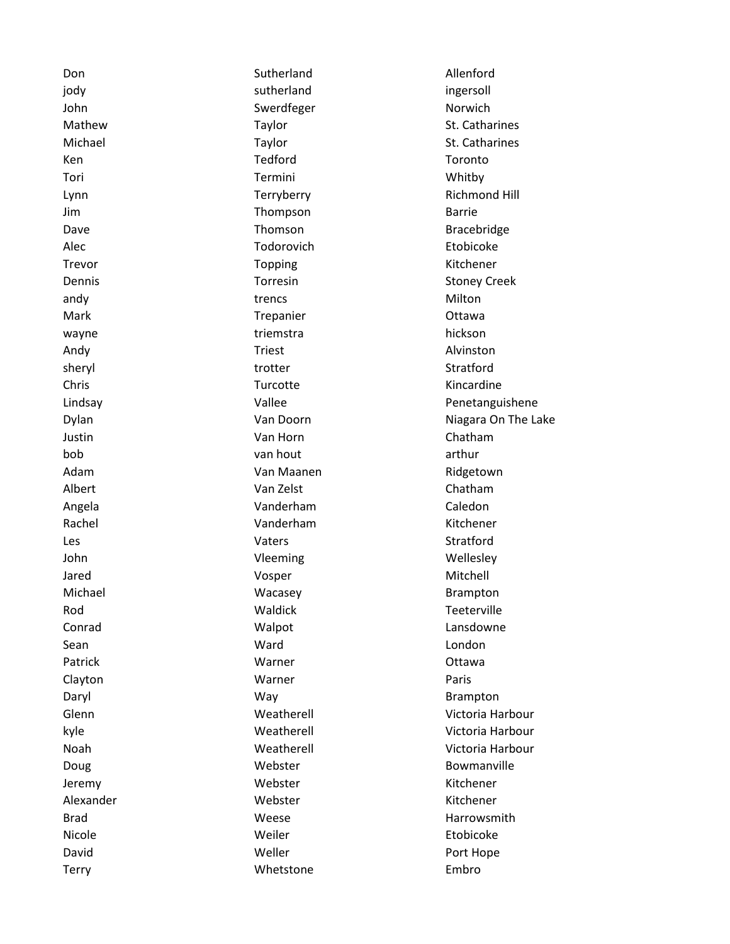| Don          | Sutherland | Allenford            |
|--------------|------------|----------------------|
| jody         | sutherland | ingersoll            |
| John         | Swerdfeger | Norwich              |
| Mathew       | Taylor     | St. Catharines       |
| Michael      | Taylor     | St. Catharines       |
| Ken          | Tedford    | Toronto              |
| Tori         | Termini    | Whitby               |
| Lynn         | Terryberry | <b>Richmond Hill</b> |
| Jim          | Thompson   | <b>Barrie</b>        |
| Dave         | Thomson    | <b>Bracebridge</b>   |
| Alec         | Todorovich | Etobicoke            |
| Trevor       | Topping    | Kitchener            |
| Dennis       | Torresin   | <b>Stoney Creek</b>  |
| andy         | trencs     | Milton               |
| Mark         | Trepanier  | Ottawa               |
| wayne        | triemstra  | hickson              |
| Andy         | Triest     | Alvinston            |
| sheryl       | trotter    | Stratford            |
| Chris        | Turcotte   | Kincardine           |
| Lindsay      | Vallee     | Penetanguishene      |
| Dylan        | Van Doorn  | Niagara On The Lake  |
| Justin       | Van Horn   | Chatham              |
| bob          | van hout   | arthur               |
| Adam         | Van Maanen | Ridgetown            |
| Albert       | Van Zelst  | Chatham              |
| Angela       | Vanderham  | Caledon              |
| Rachel       | Vanderham  | Kitchener            |
| Les          | Vaters     | Stratford            |
| John         | Vleeming   | Wellesley            |
| Jared        | Vosper     | Mitchell             |
| Michael      | Wacasey    | <b>Brampton</b>      |
| Rod          | Waldick    | Teeterville          |
| Conrad       | Walpot     | Lansdowne            |
| Sean         | Ward       | London               |
| Patrick      | Warner     | Ottawa               |
| Clayton      | Warner     | Paris                |
| Daryl        | Way        | <b>Brampton</b>      |
| Glenn        | Weatherell | Victoria Harbour     |
| kyle         | Weatherell | Victoria Harbour     |
| Noah         | Weatherell | Victoria Harbour     |
| Doug         | Webster    | Bowmanville          |
| Jeremy       | Webster    | Kitchener            |
| Alexander    | Webster    | Kitchener            |
| <b>Brad</b>  | Weese      | Harrowsmith          |
| Nicole       | Weiler     | Etobicoke            |
| David        | Weller     | Port Hope            |
| <b>Terry</b> | Whetstone  | Embro                |